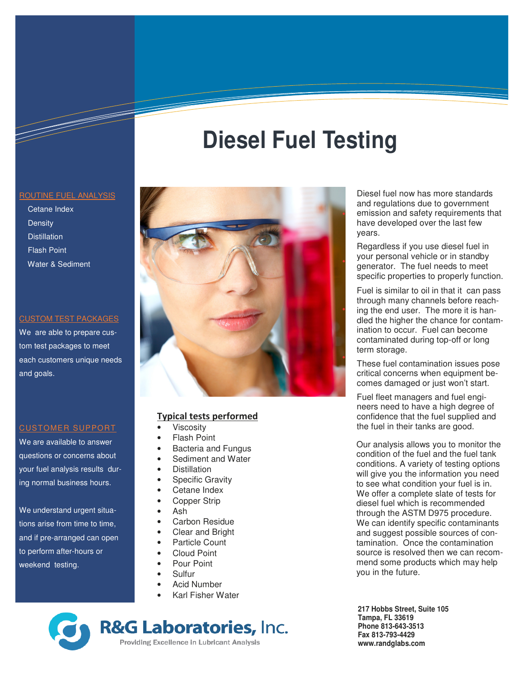### ROUTINE FUEL ANALYSIS

 Cetane Index **Density Distillation**  Flash Point Water & Sediment

### CUSTOM TEST PACKAGES

We are able to prepare custom test packages to meet each customers unique needs and goals.

## CUSTOMER SUPPORT

We are available to answer questions or concerns about your fuel analysis results during normal business hours.

We understand urgent situations arise from time to time, and if pre-arranged can open to perform after-hours or weekend testing.



**Diesel Fuel Testing**

## **Typical tests performed**

- **Viscosity**
- **Flash Point**
- Bacteria and Fungus
- Sediment and Water
- **Distillation**
- **Specific Gravity**
- Cetane Index
- Copper Strip
- Ash
- Carbon Residue
- Clear and Bright
- Particle Count
- Cloud Point
- Pour Point
- Sulfur
- Acid Number
- Karl Fisher Water

**R&G Laboratories, Inc.** Providing Excellence in Lubricant Analysis

Diesel fuel now has more standards and regulations due to government emission and safety requirements that have developed over the last few years.

Regardless if you use diesel fuel in your personal vehicle or in standby generator. The fuel needs to meet specific properties to properly function.

Fuel is similar to oil in that it can pass through many channels before reaching the end user. The more it is handled the higher the chance for contamination to occur. Fuel can become contaminated during top-off or long term storage.

These fuel contamination issues pose critical concerns when equipment becomes damaged or just won't start.

Fuel fleet managers and fuel engineers need to have a high degree of confidence that the fuel supplied and the fuel in their tanks are good.

Our analysis allows you to monitor the condition of the fuel and the fuel tank conditions. A variety of testing options will give you the information you need to see what condition your fuel is in. We offer a complete slate of tests for diesel fuel which is recommended through the ASTM D975 procedure. We can identify specific contaminants and suggest possible sources of contamination. Once the contamination source is resolved then we can recommend some products which may help you in the future.

**217 Hobbs Street, Suite 105 Tampa, FL 33619 Phone 813-643-3513 Fax 813-793-4429 www.randglabs.com**